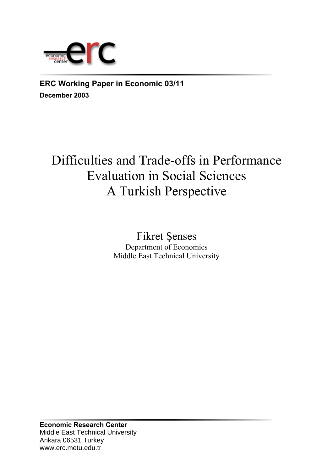

**ERC Working Paper in Economic 03/11 December 2003**

# Difficulties and Trade-offs in Performance Evaluation in Social Sciences A Turkish Perspective

Fikret Şenses Department of Economics Middle East Technical University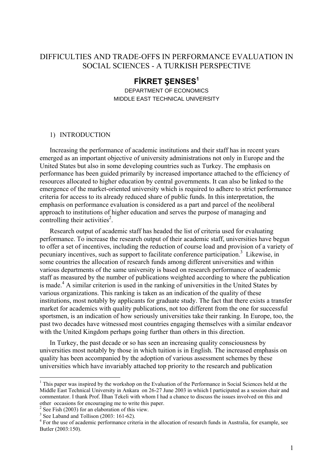### DIFFICULTIES AND TRADE-OFFS IN PERFORMANCE EVALUATION IN SOCIAL SCIENCES - A TURKISH PERSPECTIVE

## **FİKRET ŞENSES<sup>1</sup>**

DEPARTMENT OF ECONOMICS MIDDLE EAST TECHNICAL UNIVERSITY

#### 1) INTRODUCTION

Increasing the performance of academic institutions and their staff has in recent years emerged as an important objective of university administrations not only in Europe and the United States but also in some developing countries such as Turkey. The emphasis on performance has been guided primarily by increased importance attached to the efficiency of resources allocated to higher education by central governments. It can also be linked to the emergence of the market-oriented university which is required to adhere to strict performance criteria for access to its already reduced share of public funds. In this interpretation, the emphasis on performance evaluation is considered as a part and parcel of the neoliberal approach to institutions of higher education and serves the purpose of managing and controlling their activities<sup>2</sup>.

Research output of academic staff has headed the list of criteria used for evaluating performance. To increase the research output of their academic staff, universities have begun to offer a set of incentives, including the reduction of course load and provision of a variety of pecuniary incentives, such as support to facilitate conference participation.<sup>3</sup> Likewise, in some countries the allocation of research funds among different universities and within various departments of the same university is based on research performance of academic staff as measured by the number of publications weighted according to where the publication is made.<sup>4</sup> A similar criterion is used in the ranking of universities in the United States by various organizations. This ranking is taken as an indication of the quality of these institutions, most notably by applicants for graduate study. The fact that there exists a transfer market for academics with quality publications, not too different from the one for successful sportsmen, is an indication of how seriously universities take their ranking. In Europe, too, the past two decades have witnessed most countries engaging themselves with a similar endeavor with the United Kingdom perhaps going further than others in this direction.

In Turkey, the past decade or so has seen an increasing quality consciousness by universities most notably by those in which tuition is in English. The increased emphasis on quality has been accompanied by the adoption of various assessment schemes by these universities which have invariably attached top priority to the research and publication

<sup>&</sup>lt;sup>1</sup> This paper was inspired by the workshop on the Evaluation of the Performance in Social Sciences held at the Middle East Technical University in Ankara on 26-27 June 2003 in whiich I participated as a session chair and commentator. I thank Prof. İlhan Tekeli with whom I had a chance to discuss the issues involved on this and other occasions for encouraging me to write this paper. 2

See Fish (2003) for an elaboration of this view.

<sup>&</sup>lt;sup>3</sup> See Laband and Tollison (2003: 161-62).

<sup>&</sup>lt;sup>4</sup> For the use of academic performance criteria in the allocation of research funds in Australia, for example, see Butler (2003:150).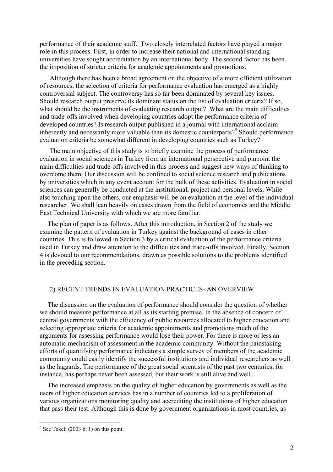performance of their academic staff. Two closely interrelated factors have played a major role in this process. First, in order to increase their national and international standing universities have sought accreditation by an international body. The second factor has been the imposition of stricter criteria for academic appointments and promotions.

Although there has been a broad agreement on the objective of a more efficient utilization of resources, the selection of criteria for performance evaluation has emerged as a highly controversial subject. The controversy has so far been dominated by several key issues. Should research output preserve its dominant status on the list of evaluation criteria? If so, what should be the instruments of evaluating research output? What are the main difficulties and trade-offs involved when developing countries adopt the performance criteria of developed countries? Is research output published in a journal with international acclaim inherently and necessarily more valuable than its domestic counterparts?<sup>5</sup> Should performance evaluation criteria be somewhat different in developing countries such as Turkey?

The main objective of this study is to briefly examine the process of performance evaluation in social sciences in Turkey from an international perspective and pinpoint the main difficulties and trade-offs involved in this process and suggest new ways of thinking to overcome them. Our discussion will be confined to social science research and publications by universities which in any event account for the bulk of these activities. Evaluation in social sciences can generally be conducted at the institutional, project and personal levels. While also touching upon the others, our emphasis will be on evaluation at the level of the individual researcher. We shall lean heavily on cases drawn from the field of economics and the Middle East Technical University with which we are more familiar.

The plan of paper is as follows. After this introduction, in Section 2 of the study we examine the pattern of evaluation in Turkey against the background of cases in other countries. This is followed in Section 3 by a critical evaluation of the performance criteria used in Turkey and draw attention to the difficulties and trade-offs involved. Finally, Section 4 is devoted to our recommendations, drawn as possible solutions to the problems identified in the preceding section.

#### 2) RECENT TRENDS IN EVALUATION PRACTICES- AN OVERVIEW

The discussion on the evaluation of performance should consider the question of whether we should measure performance at all as its starting premise. In the absence of concern of central governments with the efficiency of public resources allocated to higher education and selecting appropriate criteria for academic appointments and promotions much of the arguments for assessing performance would lose their power. For there is more or less an automatic mechanism of assessment in the academic community. Without the painstaking efforts of quantifying performance indicators a simple survey of members of the academic community could easily identify the successful institutions and individual researchers as well as the laggards. The performance of the great social scientists of the past two centuries, for instance, has perhaps never been assessed, but their work is still alive and well.

The increased emphasis on the quality of higher education by governments as well as the users of higher education services has in a number of countries led to a proliferation of various organizations monitoring quality and accrediting the institutions of higher education that pass their test. Although this is done by government organizations in most countries, as

 $5$  See Tekeli (2003 b: 1) on this point.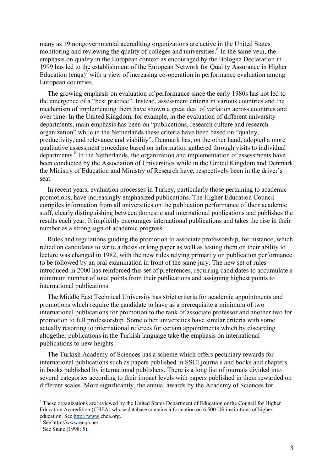many as 19 nongovernmental accrediting organizations are active in the United States monitoring and reviewing the quality of colleges and universities.<sup>6</sup> In the same vein, the emphasis on quality in the European context as encouraged by the Bologna Declaration in 1999 has led to the establishment of the European Network for Quality Assurance in Higher Education (enqa)<sup>7</sup> with a view of increasing co-operation in performance evaluation among European countries.

The growing emphasis on evaluation of performance since the early 1980s has not led to the emergence of a "best practice". Instead, assessment criteria in various countries and the mechanism of implementing them have shown a great deal of variation across countries and over time. In the United Kingdom, for example, in the evaluation of different university departments, main emphasis has been on "publications, research culture and research organization" while in the Netherlands these criteria have been based on "quality, productivity, and relevance and viability". Denmark has, on the other hand, adopted a more qualitative assessment procedure based on information gathered through visits to individual departments.<sup>8</sup> In the Netherlands, the organization and implementation of assessments have been conducted by the Association of Universities while in the United Kingdom and Denmark the Ministry of Education and Ministry of Research have, respectively been in the driver's seat.

In recent years, evaluation processes in Turkey, particularly those pertaining to academic promotions, have increasingly emphasized publications. The Higher Education Council compiles information from all universities on the publication performance of their academic staff, clearly distinguishing between domestic and international publications and publishes the results each year. It implicitly encourages international publications and takes the rise in their number as a strong sign of academic progress.

Rules and regulations guiding the promotion to associate professorship, for instance, which relied on candidates to write a thesis or long paper as well as testing them on their ability to lecture was changed in 1982, with the new rules relying primarily on publication performance to be followed by an oral examination in front of the same jury. The new set of rules introduced in 2000 has reinforced this set of preferences, requiring candidates to accumulate a minimum number of total points from their publications and assigning highest points to international publications.

The Middle East Technical University has strict criteria for academic appointments and promotions which require the candidate to have as a prerequisite a minimum of two international publications for promotion to the rank of associate professor and another two for promotion to full professorship. Some other universities have similar criteria with some actually resorting to international referees for certain appointments which by discarding altogether publications in the Turkish language take the emphasis on international publications to new heights.

The Turkish Academy of Sciences has a scheme which offers pecuniary rewards for international publications such as papers published in SSCI journals and books and chapters in books published by international publishers. There is a long list of journals divided into several categories according to their impact levels with papers published in them rewarded on different scales. More significantly, the annual awards by the Academy of Sciences for

<sup>&</sup>lt;sup>6</sup> These organizations are reviewed by the United States Department of Education or the Council for Higher Education Accredition (CHEA) whose database contains information on 6,500 US institutions of higher education. See http://www.chea.org.

 $\frac{7}{1}$  See http://www.enga.net

<sup>&</sup>lt;sup>8</sup> See Siune (1998: 5).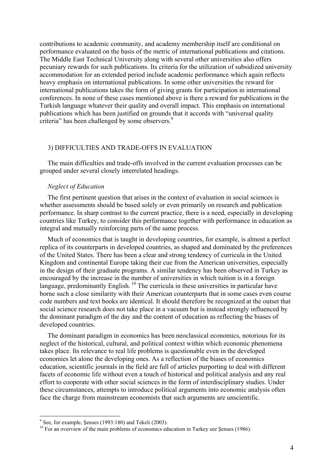contributions to academic community, and academy membership itself are conditional on performance evaluated on the basis of the metric of international publications and citations. The Middle East Technical University along with several other universities also offers pecuniary rewards for such publications. Its criteria for the utilization of subsidized university accommodation for an extended period include academic performance which again reflects heavy emphasis on international publications. In some other universities the reward for international publications takes the form of giving grants for participation in international conferences. In none of these cases mentioned above is there a reward for publications in the Turkish language whatever their quality and overall impact. This emphasis on international publications which has been justified on grounds that it accords with "universal quality criteria" has been challenged by some observers.<sup>9</sup>

#### 3) DIFFICULTIES AND TRADE-OFFS IN EVALUATION

The main difficulties and trade-offs involved in the current evaluation processes can be grouped under several closely interrelated headings.

#### *Neglect of Education*

The first pertinent question that arises in the context of evaluation in social sciences is whether assessments should be based solely or even primarily on research and publication performance. In sharp contrast to the current practice, there is a need, especially in developing countries like Turkey, to consider this performance together with performance in education as integral and mutually reinforcing parts of the same process.

Much of economics that is taught in developing countries, for example, is almost a perfect replica of its counterparts in developed countries, as shaped and dominated by the preferences of the United States. There has been a clear and strong tendency of curricula in the United Kingdom and continental Europe taking their cue from the American universities, especially in the design of their graduate programs. A similar tendency has been observed in Turkey as encouraged by the increase in the number of universities in which tuition is in a foreign language, predominantly English.  $^{10}$  The curricula in these universities in particular have borne such a close similarity with their American counterparts that in some cases even course code numbers and text books are identical. It should therefore be recognized at the outset that social science research does not take place in a vacuum but is instead strongly influenced by the dominant paradigm of the day and the content of education as reflecting the biases of developed countries.

The dominant paradigm in economics has been neoclassical economics, notorious for its neglect of the historical, cultural, and political context within which economic phenomena takes place. Its relevance to real life problems is questionable even in the developed economies let alone the developing ones. As a reflection of the biases of economics education, scientific journals in the field are full of articles purporting to deal with different facets of economic life without even a touch of historical and political analysis and any real effort to cooperate with other social sciences in the form of interdisciplinary studies. Under these circumstances, attempts to introduce political arguments into economic analysis often face the charge from mainstream economists that such arguments are unscientific.

 $9$  See, for example, Senses (1993:180) and Tekeli (2003).

 $^{10}$  For an overview of the main problems of economics education in Turkey see Şenses (1986).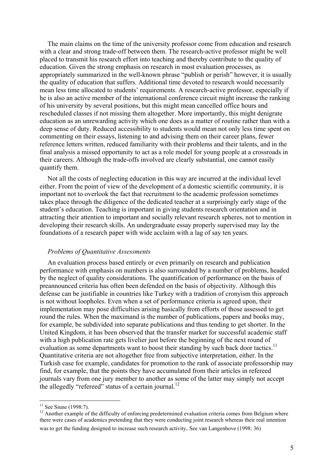The main claims on the time of the university professor come from education and research with a clear and strong trade-off between them. The research-active professor might be well placed to transmit his research effort into teaching and thereby contribute to the quality of education. Given the strong emphasis on research in most evaluation processes, as appropriately summarized in the well-known phrase "publish or perish" however, it is usually the quality of education that suffers. Additional time devoted to research would necessarily mean less time allocated to students' requirements. A research-active professor, especially if he is also an active member of the international conference circuit might increase the ranking of his university by several positions, but this might mean cancelled office hours and rescheduled classes if not missing them altogether. More importantly, this might denigrate education as an unrewarding activity which one does as a matter of routine rather than with a deep sense of duty. Reduced accessibility to students would mean not only less time spent on commenting on their essays, listening to and advising them on their career plans, fewer reference letters written, reduced familiarity with their problems and their talents, and in the final analysis a missed opportunity to act as a role model for young people at a crossroads in their careers. Although the trade-offs involved are clearly substantial, one cannot easily quantify them.

Not all the costs of neglecting education in this way are incurred at the individual level either. From the point of view of the development of a domestic scientific community, it is important not to overlook the fact that recruitment to the academic profession sometimes takes place through the diligence of the dedicated teacher at a surprisingly early stage of the student's education. Teaching is important in giving students research orientation and in attracting their attention to important and socially relevant research spheres, not to mention in developing their research skills. An undergraduate essay properly supervised may lay the foundations of a research paper with wide acclaim with a lag of say ten years.

#### *Problems of Quantitative Assessments*

An evaluation process based entirely or even primarily on research and publication performance with emphasis on numbers is also surrounded by a number of problems, headed by the neglect of quality considerations. The quantification of performance on the basis of preannounced criteria has often been defended on the basis of objectivity. Although this defense can be justifiable in countries like Turkey with a tradition of cronyism this approach is not without loopholes. Even when a set of performance criteria is agreed upon, their implementation may pose difficulties arising basically from efforts of those assessed to get round the rules. When the maximand is the number of publications, papers and books may, for example, be subdivided into separate publications and thus tending to get shorter. In the United Kingdom, it has been observed that the transfer market for successful academic staff with a high publication rate gets livelier just before the beginning of the next round of evaluation as some departments want to boost their standing by such back door tactics.<sup>11</sup> Quantitative criteria are not altogether free from subjective interpretation, either. In the Turkish case for example, candidates for promotion to the rank of associate professorship may find, for example, that the points they have accumulated from their articles in refereed journals vary from one jury member to another as some of the latter may simply not accept the allegedly "refereed" status of a certain journal.<sup>12</sup>

 $11$  See Siune (1998:7).

<sup>&</sup>lt;sup>12</sup> Another example of the difficulty of enforcing predetermined evaluation criteria comes from Belgium where there were cases of academics pretending that they were conducting joint research whereas their real intention was to get the funding designed to increase such research activity. See van Langenhove (1998: 36)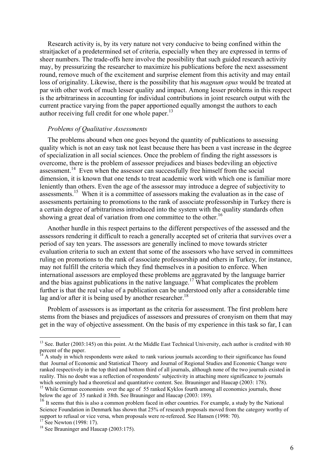Research activity is, by its very nature not very conducive to being confined within the straitjacket of a predetermined set of criteria, especially when they are expressed in terms of sheer numbers. The trade-offs here involve the possibility that such guided research activity may, by pressurizing the researcher to maximize his publications before the next assessment round, remove much of the excitement and surprise element from this activity and may entail loss of originality. Likewise, there is the possibility that his *magnum opus* would be treated at par with other work of much lesser quality and impact. Among lesser problems in this respect is the arbitrariness in accounting for individual contributions in joint research output with the current practice varying from the paper apportioned equally amongst the authors to each author receiving full credit for one whole paper. $^{13}$ 

#### *Problems of Qualitative Assessments*

The problems abound when one goes beyond the quantity of publications to assessing quality which is not an easy task not least because there has been a vast increase in the degree of specialization in all social sciences. Once the problem of finding the right assessors is overcome, there is the problem of assessor prejudices and biases bedeviling an objective assessment.14 Even when the assessor can successfully free himself from the social dimension, it is known that one tends to treat academic work with which one is familiar more leniently than others. Even the age of the assessor may introduce a degree of subjectivity to assessments.<sup>15</sup> When it is a committee of assessors making the evaluation as in the case of assessments pertaining to promotions to the rank of associate professorship in Turkey there is a certain degree of arbitrariness introduced into the system with the quality standards often showing a great deal of variation from one committee to the other.<sup>16</sup>

Another hurdle in this respect pertains to the different perspectives of the assessed and the assessors rendering it difficult to reach a generally accepted set of criteria that survives over a period of say ten years. The assessors are generally inclined to move towards stricter evaluation criteria to such an extent that some of the assessors who have served in committees ruling on promotions to the rank of associate professorship and others in Turkey, for instance, may not fulfill the criteria which they find themselves in a position to enforce. When international assessors are employed these problems are aggravated by the language barrier and the bias against publications in the native language.<sup>17</sup> What complicates the problem further is that the real value of a publication can be understood only after a considerable time lag and/or after it is being used by another researcher.<sup>18</sup>

Problem of assessors is as important as the criteria for assessment. The first problem here stems from the biases and prejudices of assessors and pressures of cronyism on them that may get in the way of objective assessment. On the basis of my experience in this task so far, I can

 $13$  See. Butler (2003:145) on this point. At the Middle East Technical University, each author is credited with 80 percent of the paper.

<sup>&</sup>lt;sup>14</sup> A study in which respondents were asked to rank various journals according to their significance has found that Journal of Economic and Statistical Theory and Journal of Regional Studies and Economic Change were ranked respectively in the top third and bottom third of all journals, although none of the two journals existed in reality. This no doubt was a reflection of respondents' subjectivity in attaching more significance to journals which seemingly had a theoretical and quantitative content. See. Brauninger and Haucap (2003: 178).

<sup>&</sup>lt;sup>15</sup> While German economists over the age of 55 ranked Kyklos fourth among all economics journals, those below the age of 35 ranked it 38th. See Brauninger and Haucap (2003: 189).

<sup>&</sup>lt;sup>16</sup> It seems that this is also a common problem faced in other countries. For example, a study by the National Science Foundation in Denmark has shown that 25% of research proposals moved from the category worthy of support to refusal or vice versa, when proposals were re-refereed. See Hansen (1998: 70).<br><sup>17</sup> See Newton (1998: 17).

<sup>&</sup>lt;sup>18</sup> See Brauninger and Haucap (2003:175).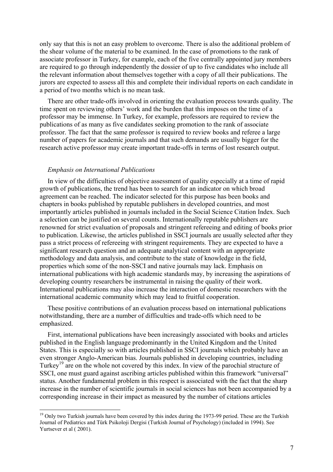only say that this is not an easy problem to overcome. There is also the additional problem of the shear volume of the material to be examined. In the case of promotions to the rank of associate professor in Turkey, for example, each of the five centrally appointed jury members are required to go through independently the dossier of up to five candidates who include all the relevant information about themselves together with a copy of all their publications. The jurors are expected to assess all this and complete their individual reports on each candidate in a period of two months which is no mean task.

There are other trade-offs involved in orienting the evaluation process towards quality. The time spent on reviewing others' work and the burden that this imposes on the time of a professor may be immense. In Turkey, for example, professors are required to review the publications of as many as five candidates seeking promotion to the rank of associate professor. The fact that the same professor is required to review books and referee a large number of papers for academic journals and that such demands are usually bigger for the research active professor may create important trade-offs in terms of lost research output.

#### *Emphasis on International Publications*

 $\overline{a}$ 

In view of the difficulties of objective assessment of quality especially at a time of rapid growth of publications, the trend has been to search for an indicator on which broad agreement can be reached. The indicator selected for this purpose has been books and chapters in books published by reputable publishers in developed countries, and most importantly articles published in journals included in the Social Science Citation Index. Such a selection can be justified on several counts. Internationally reputable publishers are renowned for strict evaluation of proposals and stringent refereeing and editing of books prior to publication. Likewise, the articles published in SSCI journals are usually selected after they pass a strict process of refereeing with stringent requirements. They are expected to have a significant research question and an adequate analytical content with an appropriate methodology and data analysis, and contribute to the state of knowledge in the field, properties which some of the non-SSCI and native journals may lack. Emphasis on international publications with high academic standards may, by increasing the aspirations of developing country researchers be instrumental in raising the quality of their work. International publications may also increase the interaction of domestic researchers with the international academic community which may lead to fruitful cooperation.

These positive contributions of an evaluation process based on international publications notwithstanding, there are a number of difficulties and trade-offs which need to be emphasized.

First, international publications have been increasingly associated with books and articles published in the English language predominantly in the United Kingdom and the United States. This is especially so with articles published in SSCI journals which probably have an even stronger Anglo-American bias. Journals published in developing countries, including Turkey<sup>19</sup> are on the whole not covered by this index. In view of the parochial structure of SSCI, one must guard against ascribing articles published within this framework "universal" status. Another fundamental problem in this respect is associated with the fact that the sharp increase in the number of scientific journals in social sciences has not been accompanied by a corresponding increase in their impact as measured by the number of citations articles

<sup>&</sup>lt;sup>19</sup> Only two Turkish journals have been covered by this index during the 1973-99 period. These are the Turkish Journal of Pediatrics and Türk Psikoloji Dergisi (Turkish Journal of Psychology) (included in 1994). See Yurtsever et al ( 2001).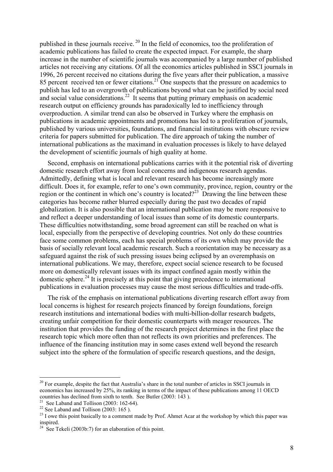published in these journals receive. 20 In the field of economics, too the proliferation of academic publications has failed to create the expected impact. For example, the sharp increase in the number of scientific journals was accompanied by a large number of published articles not receiving any citations. Of all the economics articles published in SSCI journals in 1996, 26 percent received no citations during the five years after their publication, a massive 85 percent received ten or fewer citations.<sup>21</sup> One suspects that the pressure on academics to publish has led to an overgrowth of publications beyond what can be justified by social need and social value considerations.<sup>22</sup> It seems that putting primary emphasis on academic research output on efficiency grounds has paradoxically led to inefficiency through overproduction. A similar trend can also be observed in Turkey where the emphasis on publications in academic appointments and promotions has led to a proliferation of journals, published by various universities, foundations, and financial institutions with obscure review criteria for papers submitted for publication. The dire approach of taking the number of international publications as the maximand in evaluation processes is likely to have delayed the development of scientific journals of high quality at home.

Second, emphasis on international publications carries with it the potential risk of diverting domestic research effort away from local concerns and indigenous research agendas. Admittedly, defining what is local and relevant research has become increasingly more difficult. Does it, for example, refer to one's own community, province, region, country or the region or the continent in which one's country is located?<sup>23</sup> Drawing the line between these categories has become rather blurred especially during the past two decades of rapid globalization. It is also possible that an international publication may be more responsive to and reflect a deeper understanding of local issues than some of its domestic counterparts. These difficulties notwithstanding, some broad agreement can still be reached on what is local, especially from the perspective of developing countries. Not only do these countries face some common problems, each has special problems of its own which may provide the basis of socially relevant local academic research. Such a reorientation may be necessary as a safeguard against the risk of such pressing issues being eclipsed by an overemphasis on international publications. We may, therefore, expect social science research to be focused more on domestically relevant issues with its impact confined again mostly within the domestic sphere.<sup>24</sup> It is precisely at this point that giving precedence to international publications in evaluation processes may cause the most serious difficulties and trade-offs.

The risk of the emphasis on international publications diverting research effort away from local concerns is highest for research projects financed by foreign foundations, foreign research institutions and international bodies with multi-billion-dollar research budgets, creating unfair competition for their domestic counterparts with meager resources. The institution that provides the funding of the research project determines in the first place the research topic which more often than not reflects its own priorities and preferences. The influence of the financing institution may in some cases extend well beyond the research subject into the sphere of the formulation of specific research questions, and the design,

 $^{20}$  For example, despite the fact that Australia's share in the total number of articles in SSCI journals in economics has increased by 25%, its ranking in terms of the impact of these publications among 11 OECD countries has declined from sixth to tenth. See Butler (2003: 143).<br><sup>21</sup> See Laband and Tollison (2003: 162-64).

<sup>&</sup>lt;sup>22</sup> See Laband and Tollison (2003: 165).

<sup>&</sup>lt;sup>23</sup> I owe this point basically to a comment made by Prof. Ahmet Acar at the workshop by which this paper was inspired.

<sup>&</sup>lt;sup>24</sup> See Tekeli (2003b:7) for an elaboration of this point.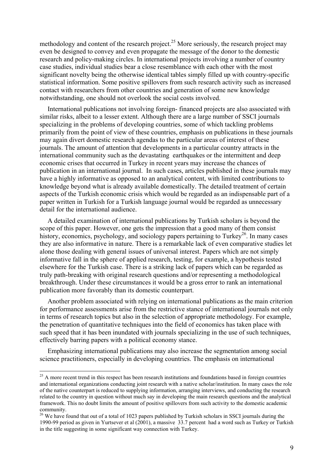methodology and content of the research project.<sup>25</sup> More seriously, the research project may even be designed to convey and even propagate the message of the donor to the domestic research and policy-making circles. In international projects involving a number of country case studies, individual studies bear a close resemblance with each other with the most significant novelty being the otherwise identical tables simply filled up with country-specific statistical information. Some positive spillovers from such research activity such as increased contact with researchers from other countries and generation of some new knowledge notwithstanding, one should not overlook the social costs involved.

International publications not involving foreign- financed projects are also associated with similar risks, albeit to a lesser extent. Although there are a large number of SSCI journals specializing in the problems of developing countries, some of which tackling problems primarily from the point of view of these countries, emphasis on publications in these journals may again divert domestic research agendas to the particular areas of interest of these journals. The amount of attention that developments in a particular country attracts in the international community such as the devastating earthquakes or the intermittent and deep economic crises that occurred in Turkey in recent years may increase the chances of publication in an international journal. In such cases, articles published in these journals may have a highly informative as opposed to an analytical content, with limited contributions to knowledge beyond what is already available domestically. The detailed treatment of certain aspects of the Turkish economic crisis which would be regarded as an indispensable part of a paper written in Turkish for a Turkish language journal would be regarded as unnecessary detail for the international audience.

A detailed examination of international publications by Turkish scholars is beyond the scope of this paper. However, one gets the impression that a good many of them consist history, economics, psychology, and sociology papers pertaining to Turkey<sup>26</sup>. In many cases they are also informative in nature. There is a remarkable lack of even comparative studies let alone those dealing with general issues of universal interest. Papers which are not simply informative fall in the sphere of applied research, testing, for example, a hypothesis tested elsewhere for the Turkish case. There is a striking lack of papers which can be regarded as truly path-breaking with original research questions and/or representing a methodological breakthrough. Under these circumstances it would be a gross error to rank an international publication more favorably than its domestic counterpart.

Another problem associated with relying on international publications as the main criterion for performance assessments arise from the restrictive stance of international journals not only in terms of research topics but also in the selection of appropriate methodology. For example, the penetration of quantitative techniques into the field of economics has taken place with such speed that it has been inundated with journals specializing in the use of such techniques, effectively barring papers with a political economy stance.

Emphasizing international publications may also increase the segmentation among social science practitioners, especially in developing countries. The emphasis on international

<sup>&</sup>lt;sup>25</sup> A more recent trend in this respect has been research institutions and foundations based in foreign countries and international organizations conducting joint research with a native scholar/institution. In many cases the role of the native counterpart is reduced to supplying information, arranging interviews, and conducting the research related to the country in question without much say in developing the main research questions and the analytical framework. This no doubt limits the amount of positive spillovers from such activity to the domestic academic community.

<sup>&</sup>lt;sup>26</sup> We have found that out of a total of 1023 papers published by Turkish scholars in SSCI journals during the 1990-99 period as given in Yurtsever et al (2001), a massive 33.7 percent had a word such as Turkey or Turkish in the title suggesting in some significant way connection with Turkey.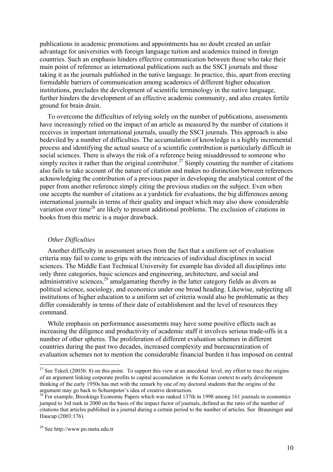publications in academic promotions and appointments has no doubt created an unfair advantage for universities with foreign language tuition and academics trained in foreign countries. Such an emphasis hinders effective communication between those who take their main point of reference as international publications such as the SSCI journals and those taking it as the journals published in the native language. In practice, this, apart from erecting formidable barriers of communication among academics of different higher education institutions, precludes the development of scientific terminology in the native language, further hinders the development of an effective academic community, and also creates fertile ground for brain drain.

To overcome the difficulties of relying solely on the number of publications, assessments have increasingly relied on the impact of an article as measured by the number of citations it receives in important international journals, usually the SSCI journals. This approach is also bedeviled by a number of difficulties. The accumulation of knowledge is a highly incremental process and identifying the actual source of a scientific contribution is particularly difficult in social sciences. There is always the risk of a reference being misaddressed to someone who simply recites it rather than the original contributor.<sup>27</sup> Simply counting the number of citations also fails to take account of the nature of citation and makes no distinction between references acknowledging the contribution of a previous paper in developing the analytical content of the paper from another reference simply citing the previous studies on the subject. Even when one accepts the number of citations as a yardstick for evaluations, the big differences among international journals in terms of their quality and impact which may also show considerable variation over time<sup>28</sup> are likely to present additional problems. The exclusion of citations in books from this metric is a major drawback.

#### *Other Difficulties*

Another difficulty in assessment arises from the fact that a uniform set of evaluation criteria may fail to come to grips with the intricacies of individual disciplines in social sciences. The Middle East Technical University for example has divided all disciplines into only three categories, basic sciences and engineering, architecture, and social and administrative sciences,  $29$  amalgamating thereby in the latter category fields as divers as political science, sociology, and economics under one broad heading. Likewise, subjecting all institutions of higher education to a uniform set of criteria would also be problematic as they differ considerably in terms of their date of establishment and the level of resources they command.

While emphasis on performance assessments may have some positive effects such as increasing the diligence and productivity of academic staff it involves serious trade-offs in a number of other spheres. The proliferation of different evaluation schemes in different countries during the past two decades, increased complexity and bureaucratization of evaluation schemes not to mention the considerable financial burden it has imposed on central

<sup>&</sup>lt;sup>27</sup> See Tekeli (2003b: 8) on this point. To support this view at an anecdotal level, my effort to trace the origins of an argument linking corporate profits to capital accumulation in the Korean context to early development thinking of the early 1950s has met with the remark by one of my doctoral students that the origins of the argument may go back to Schumpeter's idea of creative destruction.

<sup>&</sup>lt;sup>28</sup> For example, Brookings Economic Papers which was ranked 137th in 1998 among 161 journals in economics jumped to 3rd rank in 2000 on the basis of the impact factor of journals, defined as the ratio of the number of citations that articles published in a journal during a certain period to the number of articles. See Brauninger and Haucap (2003:176).

<sup>29</sup> See http://www.po.metu.edu.tr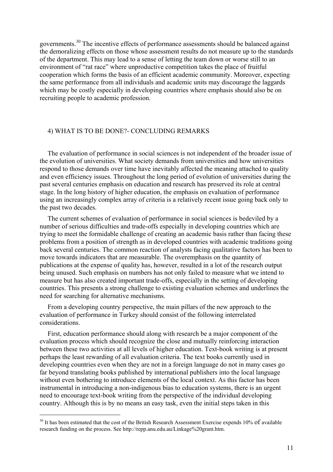governments.30 The incentive effects of performance assessments should be balanced against the demoralizing effects on those whose assessment results do not measure up to the standards of the department. This may lead to a sense of letting the team down or worse still to an environment of "rat race" where unproductive competition takes the place of fruitful cooperation which forms the basis of an efficient academic community. Moreover, expecting the same performance from all individuals and academic units may discourage the laggards which may be costly especially in developing countries where emphasis should also be on recruiting people to academic profession.

#### 4) WHAT IS TO BE DONE?- CONCLUDING REMARKS

The evaluation of performance in social sciences is not independent of the broader issue of the evolution of universities. What society demands from universities and how universities respond to those demands over time have inevitably affected the meaning attached to quality and even efficiency issues. Throughout the long period of evolution of universities during the past several centuries emphasis on education and research has preserved its role at central stage. In the long history of higher education, the emphasis on evaluation of performance using an increasingly complex array of criteria is a relatively recent issue going back only to the past two decades.

The current schemes of evaluation of performance in social sciences is bedeviled by a number of serious difficulties and trade-offs especially in developing countries which are trying to meet the formidable challenge of creating an academic basis rather than facing these problems from a position of strength as in developed countries with academic traditions going back several centuries. The common reaction of analysts facing qualitative factors has been to move towards indicators that are measurable. The overemphasis on the quantity of publications at the expense of quality has, however, resulted in a lot of the research output being unused. Such emphasis on numbers has not only failed to measure what we intend to measure but has also created important trade-offs, especially in the setting of developing countries. This presents a strong challenge to existing evaluation schemes and underlines the need for searching for alternative mechanisms.

From a developing country perspective, the main pillars of the new approach to the evaluation of performance in Turkey should consist of the following interrelated considerations.

First, education performance should along with research be a major component of the evaluation process which should recognize the close and mutually reinforcing interaction between these two activities at all levels of higher education. Text-book writing is at present perhaps the least rewarding of all evaluation criteria. The text books currently used in developing countries even when they are not in a foreign language do not in many cases go far beyond translating books published by international publishers into the local language without even bothering to introduce elements of the local context. As this factor has been instrumental in introducing a non-indigenous bias to education systems, there is an urgent need to encourage text-book writing from the perspective of the individual developing country. Although this is by no means an easy task, even the initial steps taken in this

<sup>&</sup>lt;sup>30</sup> It has been estimated that the cost of the British Research Assessment Exercise expends 10% of available research funding on the process. See http://repp.anu.edu.au/Linkage%20grant.htm.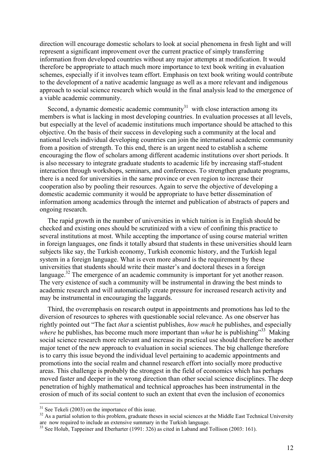direction will encourage domestic scholars to look at social phenomena in fresh light and will represent a significant improvement over the current practice of simply transferring information from developed countries without any major attempts at modification. It would therefore be appropriate to attach much more importance to text book writing in evaluation schemes, especially if it involves team effort. Emphasis on text book writing would contribute to the development of a native academic language as well as a more relevant and indigenous approach to social science research which would in the final analysis lead to the emergence of a viable academic community.

Second, a dynamic domestic academic community $31$  with close interaction among its members is what is lacking in most developing countries. In evaluation processes at all levels, but especially at the level of academic institutions much importance should be attached to this objective. On the basis of their success in developing such a community at the local and national levels individual developing countries can join the international academic community from a position of strength. To this end, there is an urgent need to establish a scheme encouraging the flow of scholars among different academic institutions over short periods. It is also necessary to integrate graduate students to academic life by increasing staff-student interaction through workshops, seminars, and conferences. To strengthen graduate programs, there is a need for universities in the same province or even region to increase their cooperation also by pooling their resources. Again to serve the objective of developing a domestic academic community it would be appropriate to have better dissemination of information among academics through the internet and publication of abstracts of papers and ongoing research.

The rapid growth in the number of universities in which tuition is in English should be checked and existing ones should be scrutinized with a view of confining this practice to several institutions at most. While accepting the importance of using course material written in foreign languages, one finds it totally absurd that students in these universities should learn subjects like say, the Turkish economy, Turkish economic history, and the Turkish legal system in a foreign language. What is even more absurd is the requirement by these universities that students should write their master's and doctoral theses in a foreign language.<sup>32</sup> The emergence of an academic community is important for yet another reason. The very existence of such a community will be instrumental in drawing the best minds to academic research and will automatically create pressure for increased research activity and may be instrumental in encouraging the laggards.

Third, the overemphasis on research output in appointments and promotions has led to the diversion of resources to spheres with questionable social relevance. As one observer has rightly pointed out "The fact *that* a scientist publishes, *how much* he publishes, and especially *where* he publishes, has become much more important than *what* he is publishing<sup>33</sup> Making social science research more relevant and increase its practical use should therefore be another major tenet of the new approach to evaluation in social sciences. The big challenge therefore is to carry this issue beyond the individual level pertaining to academic appointments and promotions into the social realm and channel research effort into socially more productive areas. This challenge is probably the strongest in the field of economics which has perhaps moved faster and deeper in the wrong direction than other social science disciplines. The deep penetration of highly mathematical and technical approaches has been instrumental in the erosion of much of its social content to such an extent that even the inclusion of economics

 $31$  See Tekeli (2003) on the importance of this issue.

<sup>&</sup>lt;sup>32</sup> As a partial solution to this problem, graduate theses in social sciences at the Middle East Technical University are now required to include an extensive summary in the Turkish language.

<sup>&</sup>lt;sup>33</sup> See Holub, Tappeiner and Eberharter (1991: 326) as cited in Laband and Tollison (2003: 161).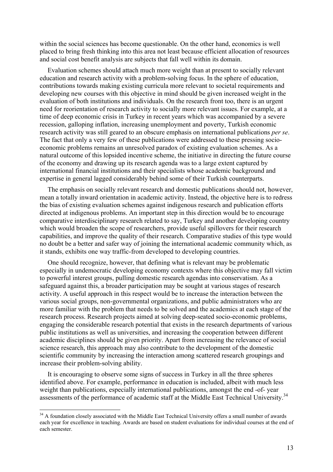within the social sciences has become questionable. On the other hand, economics is well placed to bring fresh thinking into this area not least because efficient allocation of resources and social cost benefit analysis are subjects that fall well within its domain.

Evaluation schemes should attach much more weight than at present to socially relevant education and research activity with a problem-solving focus. In the sphere of education, contributions towards making existing curricula more relevant to societal requirements and developing new courses with this objective in mind should be given increased weight in the evaluation of both institutions and individuals. On the research front too, there is an urgent need for reorientation of research activity to socially more relevant issues. For example, at a time of deep economic crisis in Turkey in recent years which was accompanied by a severe recession, galloping inflation, increasing unemployment and poverty, Turkish economic research activity was still geared to an obscure emphasis on international publications *per se*. The fact that only a very few of these publications were addressed to these pressing socioeconomic problems remains an unresolved paradox of existing evaluation schemes. As a natural outcome of this lopsided incentive scheme, the initiative in directing the future course of the economy and drawing up its research agenda was to a large extent captured by international financial institutions and their specialists whose academic background and expertise in general lagged considerably behind some of their Turkish counterparts.

The emphasis on socially relevant research and domestic publications should not, however, mean a totally inward orientation in academic activity. Instead, the objective here is to redress the bias of existing evaluation schemes against indigenous research and publication efforts directed at indigenous problems. An important step in this direction would be to encourage comparative interdisciplinary research related to say, Turkey and another developing country which would broaden the scope of researchers, provide useful spillovers for their research capabilities, and improve the quality of their research. Comparative studies of this type would no doubt be a better and safer way of joining the international academic community which, as it stands, exhibits one way traffic-from developed to developing countries.

One should recognize, however, that defining what is relevant may be problematic especially in undemocratic developing economy contexts where this objective may fall victim to powerful interest groups, pulling domestic research agendas into conservatism. As a safeguard against this, a broader participation may be sought at various stages of research activity. A useful approach in this respect would be to increase the interaction between the various social groups, non-governmental organizations, and public administrators who are more familiar with the problem that needs to be solved and the academics at each stage of the research process. Research projects aimed at solving deep-seated socio-economic problems, engaging the considerable research potential that exists in the research departments of various public institutions as well as universities, and increasing the cooperation between different academic disciplines should be given priority. Apart from increasing the relevance of social science research, this approach may also contribute to the development of the domestic scientific community by increasing the interaction among scattered research groupings and increase their problem-solving ability.

It is encouraging to observe some signs of success in Turkey in all the three spheres identified above. For example, performance in education is included, albeit with much less weight than publications, especially international publications, amongst the end -of- year assessments of the performance of academic staff at the Middle East Technical University.<sup>34</sup>

<sup>&</sup>lt;sup>34</sup> A foundation closely associated with the Middle East Technical University offers a small number of awards each year for excellence in teaching. Awards are based on student evaluations for individual courses at the end of each semester.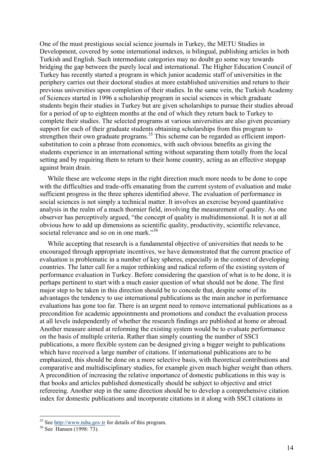One of the must prestigious social science journals in Turkey, the METU Studies in Development, covered by some international indexes, is bilingual, publishing articles in both Turkish and English. Such intermediate categories may no doubt go some way towards bridging the gap between the purely local and international. The Higher Education Council of Turkey has recently started a program in which junior academic staff of universities in the periphery carries out their doctoral studies at more established universities and return to their previous universities upon completion of their studies. In the same vein, the Turkish Academy of Sciences started in 1996 a scholarship program in social sciences in which graduate students begin their studies in Turkey but are given scholarships to pursue their studies abroad for a period of up to eighteen months at the end of which they return back to Turkey to complete their studies. The selected programs at various universities are also given pecuniary support for each of their graduate students obtaining scholarships from this program to strengthen their own graduate programs.<sup>35</sup> This scheme can be regarded as efficient importsubstitution to coin a phrase from economics, with such obvious benefits as giving the students experience in an international setting without separating them totally from the local setting and by requiring them to return to their home country, acting as an effective stopgap against brain drain.

While these are welcome steps in the right direction much more needs to be done to cope with the difficulties and trade-offs emanating from the current system of evaluation and make sufficient progress in the three spheres identified above. The evaluation of performance in social sciences is not simply a technical matter. It involves an exercise beyond quantitative analysis in the realm of a much thornier field, involving the measurement of quality. As one observer has perceptively argued, "the concept of quality is multidimensional. It is not at all obvious how to add up dimensions as scientific quality, productivity, scientific relevance, societal relevance and so on in one mark."<sup>36</sup>

While accepting that research is a fundamental objective of universities that needs to be encouraged through appropriate incentives, we have demonstrated that the current practice of evaluation is problematic in a number of key spheres, especially in the context of developing countries. The latter call for a major rethinking and radical reform of the existing system of performance evaluation in Turkey. Before considering the question of what is to be done, it is perhaps pertinent to start with a much easier question of what should not be done. The first major step to be taken in this direction should be to concede that, despite some of its advantages the tendency to use international publications as the main anchor in performance evaluations has gone too far. There is an urgent need to remove international publications as a precondition for academic appointments and promotions and conduct the evaluation process at all levels independently of whether the research findings are published at home or abroad. Another measure aimed at reforming the existing system would be to evaluate performance on the basis of multiple criteria. Rather than simply counting the number of SSCI publications, a more flexible system can be designed giving a bigger weight to publications which have received a large number of citations. If international publications are to be emphasized, this should be done on a more selective basis, with theoretical contributions and comparative and multidisciplinary studies, for example given much higher weight than others. A precondition of increasing the relative importance of domestic publications in this way is that books and articles published domestically should be subject to objective and strict refereeing. Another step in the same direction should be to develop a comprehensive citation index for domestic publications and incorporate citations in it along with SSCI citations in

<sup>&</sup>lt;sup>35</sup> See <u>http://www.tuba.gov.tr</u> for details of this program.<br><sup>36</sup> See Hansen (1998: 73).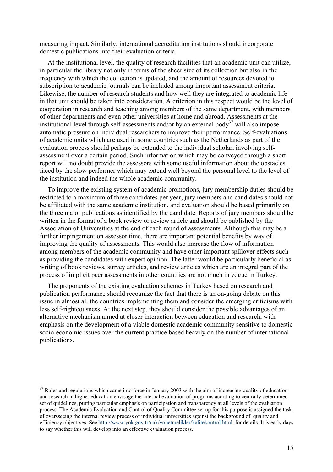measuring impact. Similarly, international accreditation institutions should incorporate domestic publications into their evaluation criteria.

At the institutional level, the quality of research facilities that an academic unit can utilize, in particular the library not only in terms of the sheer size of its collection but also in the frequency with which the collection is updated, and the amount of resources devoted to subscription to academic journals can be included among important assessment criteria. Likewise, the number of research students and how well they are integrated to academic life in that unit should be taken into consideration. A criterion in this respect would be the level of cooperation in research and teaching among members of the same department, with members of other departments and even other universities at home and abroad. Assessments at the institutional level through self-assessments and/or by an external body<sup>37</sup> will also impose automatic pressure on individual researchers to improve their performance. Self-evaluations of academic units which are used in some countries such as the Netherlands as part of the evaluation process should perhaps be extended to the individual scholar, involving selfassessment over a certain period. Such information which may be conveyed through a short report will no doubt provide the assessors with some useful information about the obstacles faced by the slow performer which may extend well beyond the personal level to the level of the institution and indeed the whole academic community.

To improve the existing system of academic promotions, jury membership duties should be restricted to a maximum of three candidates per year, jury members and candidates should not be affiliated with the same academic institution, and evaluation should be based primarily on the three major publications as identified by the candidate. Reports of jury members should be written in the format of a book review or review article and should be published by the Association of Universities at the end of each round of assessments. Although this may be a further impingement on assessor time, there are important potential benefits by way of improving the quality of assessments. This would also increase the flow of information among members of the academic community and have other important spillover effects such as providing the candidates with expert opinion. The latter would be particularly beneficial as writing of book reviews, survey articles, and review articles which are an integral part of the process of implicit peer assessments in other countries are not much in vogue in Turkey.

The proponents of the existing evaluation schemes in Turkey based on research and publication performance should recognize the fact that there is an on-going debate on this issue in almost all the countries implementing them and consider the emerging criticisms with less self-righteousness. At the next step, they should consider the possible advantages of an alternative mechanism aimed at closer interaction between education and research, with emphasis on the development of a viable domestic academic community sensitive to domestic socio-economic issues over the current practice based heavily on the number of international publications.

 $37$  Rules and regulations which came into force in January 2003 with the aim of increasing quality of education and research in higher education envisage the internal evaluation of programs acording to centrally determined set of quidelines, putting particular emphasis on participation and transparency at all levels of the evaluation process. The Academic Evaluation and Control of Quality Committee set up for this purpose is assigned the task of oversseeing the internal review process of individual universities against the background of quality and efficiency objectives. See http://www.yok.gov.tr/uak/yonetmelikler/kalitekontrol.html for details. It is early days to say whether this will develop into an effective evaluation process.